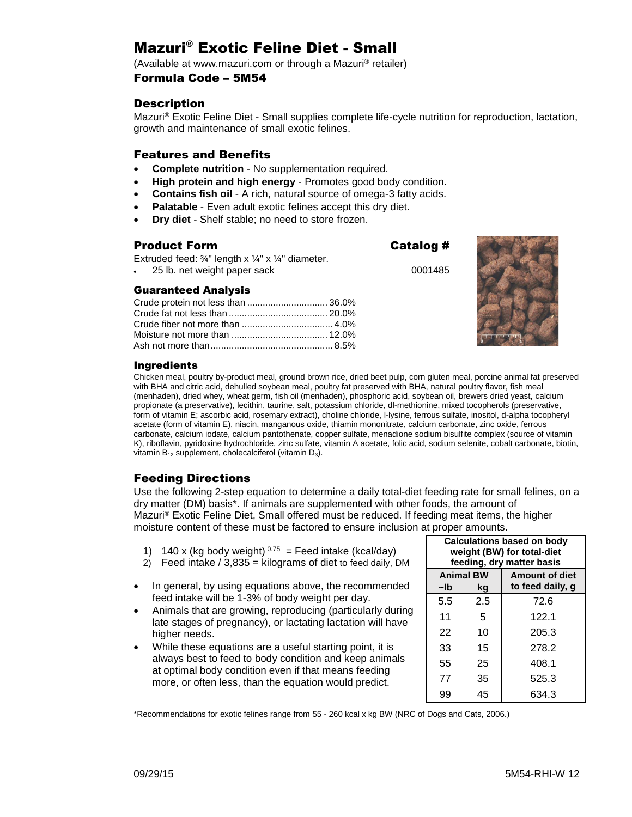# Mazuri® Exotic Feline Diet - Small

(Available at www.mazuri.com or through a Mazuri® retailer)

### Formula Code – 5M54

## **Description**

Mazuri® Exotic Feline Diet - Small supplies complete life-cycle nutrition for reproduction, lactation, growth and maintenance of small exotic felines.

### Features and Benefits

- **Complete nutrition** No supplementation required.
- **High protein and high energy** Promotes good body condition.
- **Contains fish oil** A rich, natural source of omega-3 fatty acids.
- **Palatable** Even adult exotic felines accept this dry diet.
- **Dry diet** Shelf stable; no need to store frozen.

### Product Form Catalog # Extruded feed:  $\frac{3}{4}$ " length x  $\frac{1}{4}$ " x  $\frac{1}{4}$ " diameter. 25 lb. net weight paper sack 0001485 Guaranteed Analysis Crude protein not less than ............................... 36.0% Crude fat not less than ...................................... 20.0% Crude fiber not more than ................................... 4.0% Moisture not more than ..................................... 12.0% Ash not more than............................................... 8.5%



## **Inaredients**

Chicken meal, poultry by-product meal, ground brown rice, dried beet pulp, corn gluten meal, porcine animal fat preserved with BHA and citric acid, dehulled soybean meal, poultry fat preserved with BHA, natural poultry flavor, fish meal (menhaden), dried whey, wheat germ, fish oil (menhaden), phosphoric acid, soybean oil, brewers dried yeast, calcium propionate (a preservative), lecithin, taurine, salt, potassium chloride, dl-methionine, mixed tocopherols (preservative, form of vitamin E; ascorbic acid, rosemary extract), choline chloride, l-lysine, ferrous sulfate, inositol, d-alpha tocopheryl acetate (form of vitamin E), niacin, manganous oxide, thiamin mononitrate, calcium carbonate, zinc oxide, ferrous carbonate, calcium iodate, calcium pantothenate, copper sulfate, menadione sodium bisulfite complex (source of vitamin K), riboflavin, pyridoxine hydrochloride, zinc sulfate, vitamin A acetate, folic acid, sodium selenite, cobalt carbonate, biotin, vitamin  $B_{12}$  supplement, cholecalciferol (vitamin  $D_3$ ).

## Feeding Directions

Use the following 2-step equation to determine a daily total-diet feeding rate for small felines, on a dry matter (DM) basis\*. If animals are supplemented with other foods, the amount of Mazuri® Exotic Feline Diet, Small offered must be reduced. If feeding meat items, the higher moisture content of these must be factored to ensure inclusion at proper amounts.

- 1) 140 x (kg body weight)  $0.75$  = Feed intake (kcal/day)
- 2) Feed intake  $/3,835$  = kilograms of diet to feed daily, DM
- In general, by using equations above, the recommended feed intake will be 1-3% of body weight per day.
- Animals that are growing, reproducing (particularly during late stages of pregnancy), or lactating lactation will have higher needs.
- While these equations are a useful starting point, it is always best to feed to body condition and keep animals at optimal body condition even if that means feeding more, or often less, than the equation would predict.

| <b>Calculations based on body</b><br>weight (BW) for total-diet<br>feeding, dry matter basis |     |                       |  |
|----------------------------------------------------------------------------------------------|-----|-----------------------|--|
| <b>Animal BW</b>                                                                             |     | <b>Amount of diet</b> |  |
| ~lb                                                                                          | kg  | to feed daily, g      |  |
| 5.5                                                                                          | 2.5 | 72.6                  |  |
| 11                                                                                           | 5   | 122.1                 |  |
| 22                                                                                           | 10  | 205.3                 |  |
| 33                                                                                           | 15  | 278.2                 |  |
| 55                                                                                           | 25  | 408.1                 |  |
| 77                                                                                           | 35  | 525.3                 |  |
| 99                                                                                           | 45  | 634.3                 |  |

\*Recommendations for exotic felines range from 55 - 260 kcal x kg BW (NRC of Dogs and Cats, 2006.)